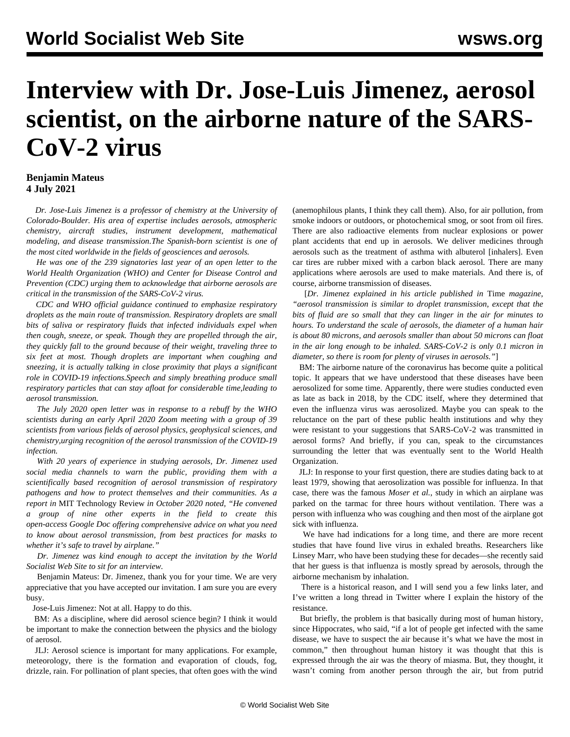## **Interview with Dr. Jose-Luis Jimenez, aerosol scientist, on the airborne nature of the SARS-CoV-2 virus**

## **Benjamin Mateus 4 July 2021**

 *Dr. Jose-Luis Jimenez is a professor of chemistry at the University of Colorado-Boulder. His area of expertise includes aerosols, atmospheric chemistry, aircraft studies, instrument development, mathematical modeling, and disease transmission.The Spanish-born scientist is one of the most cited worldwide in the fields of geosciences and aerosols.*

 *He was one of the 239 signatories last year of an open letter to the World Health Organization (WHO) and Center for Disease Control and Prevention (CDC) urging them to acknowledge that airborne aerosols are critical in the transmission of the SARS-CoV-2 virus.*

 *CDC and WHO official guidance continued to emphasize respiratory droplets as the main route of transmission. Respiratory droplets are small bits of saliva or respiratory fluids that infected individuals expel when then cough, sneeze, or speak. Though they are propelled through the air, they quickly fall to the ground because of their weight, traveling three to six feet at most. Though droplets are important when coughing and sneezing, it is actually talking in close proximity that plays a significant role in COVID-19 infections.Speech and simply breathing produce small respiratory particles that can stay afloat for considerable time,leading to aerosol transmission.*

 *The July 2020 open letter was in response to a rebuff by the WHO scientists during an early April 2020 Zoom meeting with a group of 39 scientists from various fields of aerosol physics, geophysical sciences, and chemistry,urging recognition of the aerosol transmission of the COVID-19 infection.*

 *With 20 years of experience in studying aerosols, Dr. Jimenez used social media channels to warn the public, providing them with a scientifically based recognition of aerosol transmission of respiratory pathogens and how to protect themselves and their communities. As a report in* MIT Technology Review *in October 2020 noted, "He convened a group of nine other experts in the field to create this open-access [Google Doc](https://docs.google.com/document/d/1fB5pysccOHvxphpTmCG_TGdytavMmc1cUumn8m0pwzo/edit) offering comprehensive advice on what you need to know about aerosol transmission, from best practices for masks to whether it's safe to travel by airplane."*

 *Dr. Jimenez was kind enough to accept the invitation by the World Socialist Web Site to sit for an interview.*

 Benjamin Mateus: Dr. Jimenez, thank you for your time. We are very appreciative that you have accepted our invitation. I am sure you are every busy.

Jose-Luis Jimenez: Not at all. Happy to do this.

 BM: As a discipline, where did aerosol science begin? I think it would be important to make the connection between the physics and the biology of aerosol.

 JLJ: Aerosol science is important for many applications. For example, meteorology, there is the formation and evaporation of clouds, fog, drizzle, rain. For pollination of plant species, that often goes with the wind (anemophilous plants, I think they call them). Also, for air pollution, from smoke indoors or outdoors, or photochemical smog, or soot from oil fires. There are also radioactive elements from nuclear explosions or power plant accidents that end up in aerosols. We deliver medicines through aerosols such as the treatment of asthma with albuterol [inhalers]. Even car tires are rubber mixed with a carbon black aerosol. There are many applications where aerosols are used to make materials. And there is, of course, airborne transmission of diseases.

 [*Dr. Jimenez explained in his [article](https://time.com/5883081/covid-19-transmitted-aerosols/) published in* Time *magazine, "aerosol transmission is similar to droplet transmission, except that the bits of fluid are so small that they can linger in the air for minutes to hours. To understand the scale of aerosols, the diameter of a human hair is about 80 microns, and aerosols smaller than about 50 microns can float in the air long enough to be inhaled. SARS-CoV-2 is only 0.1 micron in diameter, so there is room for plenty of viruses in aerosols."*]

 BM: The airborne nature of the coronavirus has become quite a political topic. It appears that we have understood that these diseases have been aerosolized for some time. Apparently, there were studies conducted even as late as back in 2018, by the CDC itself, where they determined that even the influenza virus was aerosolized. Maybe you can speak to the reluctance on the part of these public health institutions and why they were resistant to your suggestions that SARS-CoV-2 was transmitted in aerosol forms? And briefly, if you can, speak to the circumstances surrounding the letter that was eventually sent to the World Health Organization.

 JLJ: In response to your first question, there are studies dating back to at least 1979, showing that aerosolization was possible for influenza. In that case, there was the famous *Moser et al.*, study in which an airplane was parked on the tarmac for three hours without ventilation. There was a person with influenza who was coughing and then most of the airplane got sick with influenza.

 We have had indications for a long time, and there are more recent studies that have found live virus in exhaled breaths. Researchers like Linsey Marr, who have been studying these for decades—she recently said that her guess is that influenza is mostly spread by aerosols, through the airborne mechanism by inhalation.

 There is a historical reason, and I will send you a few links later, and I've written a long thread in Twitter where I explain the history of the resistance.

 But briefly, the problem is that basically during most of human history, since Hippocrates, who said, "if a lot of people get infected with the same disease, we have to suspect the air because it's what we have the most in common," then throughout human history it was thought that this is expressed through the air was the theory of miasma. But, they thought, it wasn't coming from another person through the air, but from putrid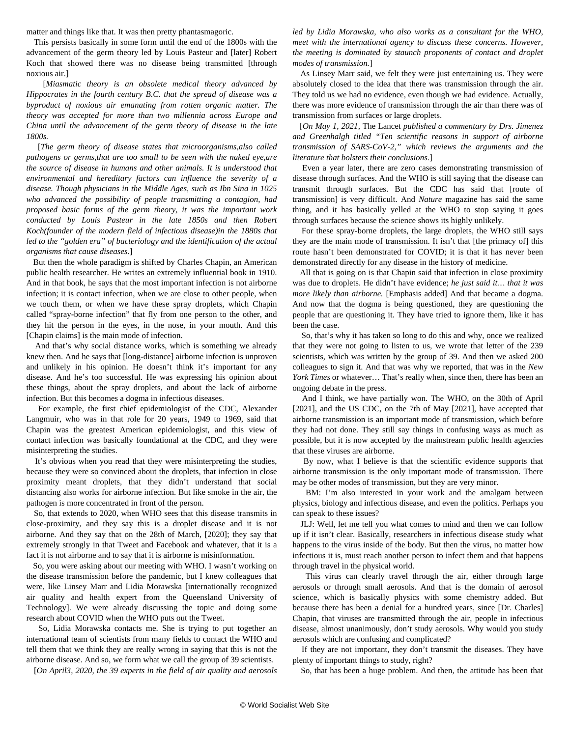matter and things like that. It was then pretty phantasmagoric.

 This persists basically in some form until the end of the 1800s with the advancement of the germ theory led by Louis Pasteur and [later] Robert Koch that showed there was no disease being transmitted [through noxious air.]

 [*Miasmatic theory is an obsolete medical theory advanced by Hippocrates in the fourth century B.C. that the spread of disease was a byproduct of noxious air emanating from rotten organic matter. The theory was accepted for more than two millennia across Europe and China until the advancement of the germ theory of disease in the late 1800s.*

 [*The germ theory of disease states that microorganisms,also called pathogens or germs,that are too small to be seen with the naked eye,are the source of disease in humans and other animals. It is understood that environmental and hereditary factors can influence the severity of a disease. Though physicians in the Middle Ages, such as Ibn Sina in 1025 who advanced the possibility of people transmitting a contagion, had proposed basic forms of the germ theory, it was the important work conducted by Louis Pasteur in the late 1850s and then Robert Koch(founder of the modern field of infectious disease)in the 1880s that led to the "golden era" of bacteriology and the identification of the actual organisms that cause diseases*.]

 But then the whole paradigm is shifted by Charles Chapin, an American public health researcher. He writes an extremely influential book in 1910. And in that book, he says that the most important infection is not airborne infection; it is contact infection, when we are close to other people, when we touch them, or when we have these spray droplets, which Chapin called "spray-borne infection" that fly from one person to the other, and they hit the person in the eyes, in the nose, in your mouth. And this [Chapin claims] is the main mode of infection.

 And that's why social distance works, which is something we already knew then. And he says that [long-distance] airborne infection is unproven and unlikely in his opinion. He doesn't think it's important for any disease. And he's too successful. He was expressing his opinion about these things, about the spray droplets, and about the lack of airborne infection. But this becomes a dogma in infectious diseases.

 For example, the first chief epidemiologist of the CDC, Alexander Langmuir, who was in that role for 20 years, 1949 to 1969, said that Chapin was the greatest American epidemiologist, and this view of contact infection was basically foundational at the CDC, and they were misinterpreting the studies.

 It's obvious when you read that they were misinterpreting the studies, because they were so convinced about the droplets, that infection in close proximity meant droplets, that they didn't understand that social distancing also works for airborne infection. But like smoke in the air, the pathogen is more concentrated in front of the person.

 So, that extends to 2020, when WHO sees that this disease transmits in close-proximity, and they say this is a droplet disease and it is not airborne. And they say that on the 28th of March, [2020]; they say that extremely strongly in that Tweet and Facebook and whatever, that it is a fact it is not airborne and to say that it is airborne is misinformation.

 So, you were asking about our meeting with WHO. I wasn't working on the disease transmission before the pandemic, but I knew colleagues that were, like Linsey Marr and Lidia Morawska [internationally recognized air quality and health expert from the Queensland University of Technology]. We were already discussing the topic and doing some research about COVID when the WHO puts out the Tweet.

 So, Lidia Morawska contacts me. She is trying to put together an international team of scientists from many fields to contact the WHO and tell them that we think they are really wrong in saying that this is not the airborne disease. And so, we form what we call the group of 39 scientists.

[*On April3, 2020, the 39 experts in the field of air quality and aerosols*

*led by Lidia Morawska, who also works as a consultant for the WHO, meet with the international agency to discuss these concerns. However, the meeting is dominated by staunch proponents of contact and droplet modes of transmission.*]

 As Linsey Marr said, we felt they were just entertaining us. They were absolutely closed to the idea that there was transmission through the air. They told us we had no evidence, even though we had evidence. Actually, there was more evidence of transmission through the air than there was of transmission from surfaces or large droplets.

 [*On May 1, 2021,* The Lancet *published a [commentary](https://www.thelancet.com/journals/lancet/article/PIIS0140-6736(21)00869-2/fulltext) by Drs. Jimenez and Greenhalgh titled "Ten scientific reasons in support of airborne transmission of SARS-CoV-2," which reviews the arguments and the literature that bolsters their conclusions.*]

 Even a year later, there are zero cases demonstrating transmission of disease through surfaces. And the WHO is still saying that the disease can transmit through surfaces. But the CDC has said that [route of transmission] is very difficult. And *Nature* magazine has said the same thing, and it has basically yelled at the WHO to stop saying it goes through surfaces because the science shows its highly unlikely.

 For these spray-borne droplets, the large droplets, the WHO still says they are the main mode of transmission. It isn't that [the primacy of] this route hasn't been demonstrated for COVID; it is that it has never been demonstrated directly for any disease in the history of medicine.

 All that is going on is that Chapin said that infection in close proximity was due to droplets. He didn't have evidence; *he just said it… that it was more likely than airborne.* [Emphasis added] And that became a dogma. And now that the dogma is being questioned, they are questioning the people that are questioning it. They have tried to ignore them, like it has been the case.

 So, that's why it has taken so long to do this and why, once we realized that they were not going to listen to us, we wrote that letter of the 239 scientists, which was written by the group of 39. And then we asked 200 colleagues to sign it. And that was why we reported, that was in the *New York Times* or whatever… That's really when, since then, there has been an ongoing debate in the press.

 And I think, we have partially won. The WHO, on the 30th of April [2021], and the US CDC, on the 7th of May [2021], have accepted that airborne transmission is an important mode of transmission, which before they had not done. They still say things in confusing ways as much as possible, but it is now accepted by the mainstream public health agencies that these viruses are airborne.

 By now, what I believe is that the scientific evidence supports that airborne transmission is the only important mode of transmission. There may be other modes of transmission, but they are very minor.

 BM: I'm also interested in your work and the amalgam between physics, biology and infectious disease, and even the politics. Perhaps you can speak to these issues?

 JLJ: Well, let me tell you what comes to mind and then we can follow up if it isn't clear. Basically, researchers in infectious disease study what happens to the virus inside of the body. But then the virus, no matter how infectious it is, must reach another person to infect them and that happens through travel in the physical world.

 This virus can clearly travel through the air, either through large aerosols or through small aerosols. And that is the domain of aerosol science, which is basically physics with some chemistry added. But because there has been a denial for a hundred years, since [Dr. Charles] Chapin, that viruses are transmitted through the air, people in infectious disease, almost unanimously, don't study aerosols. Why would you study aerosols which are confusing and complicated?

 If they are not important, they don't transmit the diseases. They have plenty of important things to study, right?

So, that has been a huge problem. And then, the attitude has been that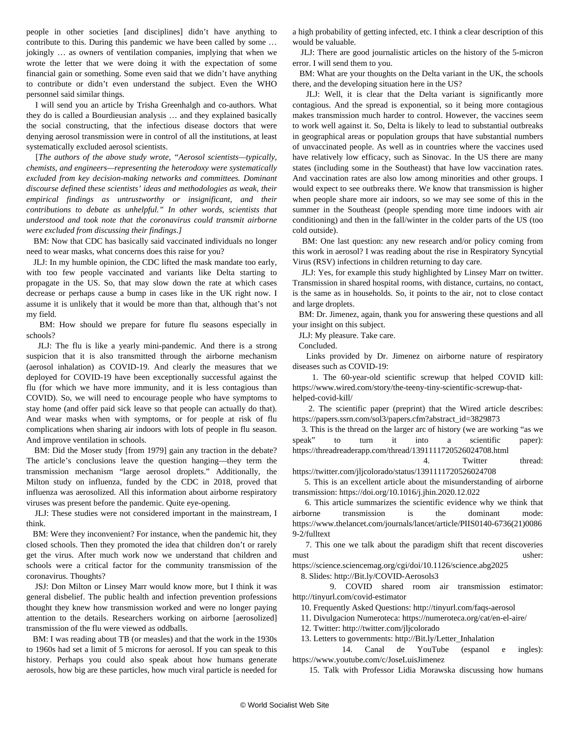people in other societies [and disciplines] didn't have anything to contribute to this. During this pandemic we have been called by some … jokingly … as owners of ventilation companies, implying that when we wrote the letter that we were doing it with the expectation of some financial gain or something. Some even said that we didn't have anything to contribute or didn't even understand the subject. Even the WHO personnel said similar things.

 I will send you an article by [Trisha Greenhalgh](https://wellcomeopenresearch.org/articles/6-126) and co-authors. What they do is called a Bourdieusian analysis … and they explained basically the social constructing, that the infectious disease doctors that were denying aerosol transmission were in control of all the institutions, at least systematically excluded aerosol scientists.

 [*The authors of the above study wrote, "Aerosol scientists—typically, chemists, and engineers—representing the heterodoxy were systematically excluded from key decision-making networks and committees. Dominant discourse defined these scientists' ideas and methodologies as weak, their empirical findings as untrustworthy or insignificant, and their contributions to debate as unhelpful." In other words, scientists that understood and took note that the coronavirus could transmit airborne were excluded from discussing their findings.]*

 BM: Now that CDC has basically said vaccinated individuals no longer need to wear masks, what concerns does this raise for you?

 JLJ: In my humble opinion, the CDC lifted the mask mandate too early, with too few people vaccinated and variants like Delta starting to propagate in the US. So, that may slow down the rate at which cases decrease or perhaps cause a bump in cases like in the UK right now. I assume it is unlikely that it would be more than that, although that's not my field.

 BM: How should we prepare for future flu seasons especially in schools?

 JLJ: The flu is like a yearly mini-pandemic. And there is a strong suspicion that it is also transmitted through the airborne mechanism (aerosol inhalation) as COVID-19. And clearly the measures that we deployed for COVID-19 have been exceptionally successful against the flu (for which we have more immunity, and it is less contagious than COVID). So, we will need to encourage people who have symptoms to stay home (and offer paid sick leave so that people can actually do that). And wear masks when with symptoms, or for people at risk of flu complications when sharing air indoors with lots of people in flu season. And improve ventilation in schools.

 BM: Did the Moser study [from 1979] gain any traction in the debate? The article's conclusions leave the question hanging—they term the transmission mechanism "large aerosol droplets." Additionally, the Milton study on influenza, funded by the CDC in 2018, proved that influenza was aerosolized. All this information about [airborne respiratory](/en/articles/2021/06/04/flu-j04.html) [viruses](/en/articles/2021/06/04/flu-j04.html) was present before the pandemic. Quite eye-opening.

 JLJ: These studies were not considered important in the mainstream, I think.

 BM: Were they inconvenient? For instance, when the pandemic hit, they closed schools. Then they promoted the idea that children don't or rarely get the virus. After much work now we understand that children and schools were a critical factor for the community transmission of the coronavirus. Thoughts?

 JSJ: Don Milton or Linsey Marr would know more, but I think it was general disbelief. The public health and infection prevention professions thought they knew how transmission worked and were no longer paying attention to the details. Researchers working on airborne [aerosolized] transmission of the flu were viewed as oddballs.

 BM: I was reading about TB (or measles) and that the work in the 1930s to 1960s had set a limit of 5 microns for aerosol. If you can speak to this history. Perhaps you could also speak about how humans generate aerosols, how big are these particles, how much viral particle is needed for a high probability of getting infected, etc. I think a clear description of this would be valuable.

 JLJ: There are good journalistic articles on the history of the 5-micron error. I will send them to you.

 BM: What are your thoughts on the Delta variant in the UK, the schools there, and the developing situation here in the US?

 JLJ: Well, it is clear that the Delta variant is significantly more contagious. And the spread is exponential, so it being more contagious makes transmission much harder to control. However, the vaccines seem to work well against it. So, Delta is likely to lead to substantial outbreaks in geographical areas or population groups that have substantial numbers of unvaccinated people. As well as in countries where the vaccines used have relatively low efficacy, such as Sinovac. In the US there are many states (including some in the Southeast) that have low vaccination rates. And vaccination rates are also low among minorities and other groups. I would expect to see outbreaks there. We know that transmission is higher when people share more air indoors, so we may see some of this in the summer in the Southeast (people spending more time indoors with air conditioning) and then in the fall/winter in the colder parts of the US (too cold outside).

 BM: One last question: any new research and/or policy coming from this work in aerosol? I was reading about the rise in Respiratory Syncytial Virus (RSV) infections in children returning to day care.

 JLJ: Yes, for example this [study](https://twitter.com/linseymarr/status/1406356465380642816) highlighted by Linsey Marr on twitter. Transmission in shared hospital rooms, with distance, curtains, no contact, is the same as in households. So, it points to the air, not to close contact and large droplets.

 BM: Dr. Jimenez, again, thank you for answering these questions and all your insight on this subject.

JLJ: My pleasure. Take care.

Concluded.

 Links provided by Dr. Jimenez on airborne nature of respiratory diseases such as COVID-19:

 1. The 60-year-old scientific screwup that helped COVID kill: [https://www.wired.com/story/the-teeny-tiny-scientific-screwup-that](https://www.wired.com/story/the-teeny-tiny-scientific-screwup-that-helped-covid-kill/)[helped-covid-kill/](https://www.wired.com/story/the-teeny-tiny-scientific-screwup-that-helped-covid-kill/)

 2. The scientific paper (preprint) that the Wired article describes: [https://papers.ssrn.com/sol3/papers.cfm?abstract\\_id=3829873](https://papers.ssrn.com/sol3/papers.cfm?abstract_id=3829873)

 3. This is the thread on the larger arc of history (we are working "as we speak" to turn it into a scientific paper): <https://threadreaderapp.com/thread/1391111720526024708.html>

4. Twitter thread:

<https://twitter.com/jljcolorado/status/1391111720526024708> 5. This is an excellent article about the misunderstanding of airborne transmission: <https://doi.org/10.1016/j.jhin.2020.12.022>

 6. This article summarizes the scientific evidence why we think that airborne transmission is the dominant mode: [https://www.thelancet.com/journals/lancet/article/PIIS0140-6736\(21\)0086](https://www.thelancet.com/journals/lancet/article/PIIS0140-6736(21)00869-2/fulltext) [9-2/fulltext](https://www.thelancet.com/journals/lancet/article/PIIS0140-6736(21)00869-2/fulltext)

 7. This one we talk about the paradigm shift that recent discoveries must usher:

<https://science.sciencemag.org/cgi/doi/10.1126/science.abg2025>

8. Slides: [http://Bit.ly/COVID-Aerosols3](http://bit.ly/COVID-Aerosols3)

 9. COVID shared room air transmission estimator: <http://tinyurl.com/covid-estimator>

10. Frequently Asked Questions:<http://tinyurl.com/faqs-aerosol>

11. Divulgacion Numeroteca:<https://numeroteca.org/cat/en-el-aire/>

12. Twitter:<http://twitter.com/jljcolorado>

13. Letters to governments: [http://Bit.ly/Letter\\_Inhalation](http://bit.ly/Letter_Inhalation)

 14. Canal de YouTube (espanol e ingles): <https://www.youtube.com/c/JoseLuisJimenez>

15. Talk with Professor Lidia Morawska discussing how humans